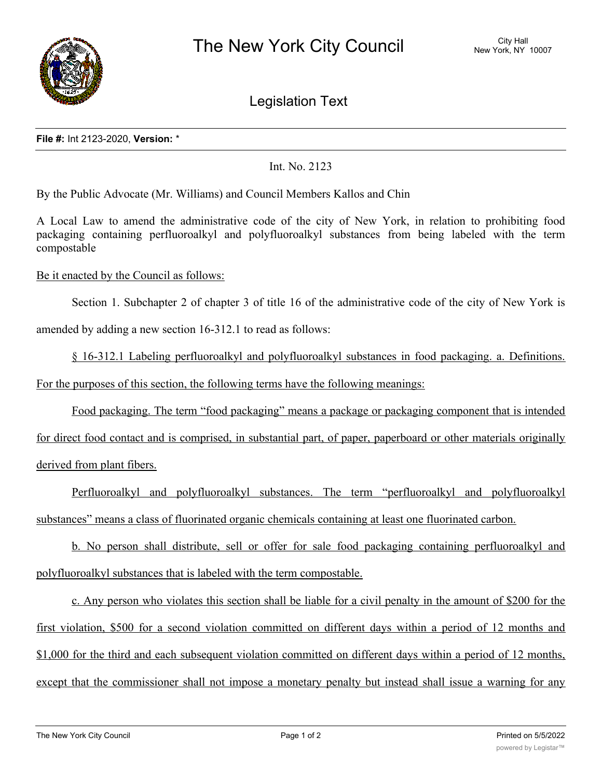

Legislation Text

## **File #:** Int 2123-2020, **Version:** \*

## Int. No. 2123

By the Public Advocate (Mr. Williams) and Council Members Kallos and Chin

A Local Law to amend the administrative code of the city of New York, in relation to prohibiting food packaging containing perfluoroalkyl and polyfluoroalkyl substances from being labeled with the term compostable

Be it enacted by the Council as follows:

Section 1. Subchapter 2 of chapter 3 of title 16 of the administrative code of the city of New York is

amended by adding a new section 16-312.1 to read as follows:

§ 16-312.1 Labeling perfluoroalkyl and polyfluoroalkyl substances in food packaging. a. Definitions.

For the purposes of this section, the following terms have the following meanings:

Food packaging. The term "food packaging" means a package or packaging component that is intended

for direct food contact and is comprised, in substantial part, of paper, paperboard or other materials originally derived from plant fibers.

Perfluoroalkyl and polyfluoroalkyl substances. The term "perfluoroalkyl and polyfluoroalkyl substances" means a class of fluorinated organic chemicals containing at least one fluorinated carbon.

b. No person shall distribute, sell or offer for sale food packaging containing perfluoroalkyl and polyfluoroalkyl substances that is labeled with the term compostable.

c. Any person who violates this section shall be liable for a civil penalty in the amount of \$200 for the first violation, \$500 for a second violation committed on different days within a period of 12 months and \$1,000 for the third and each subsequent violation committed on different days within a period of 12 months, except that the commissioner shall not impose a monetary penalty but instead shall issue a warning for any